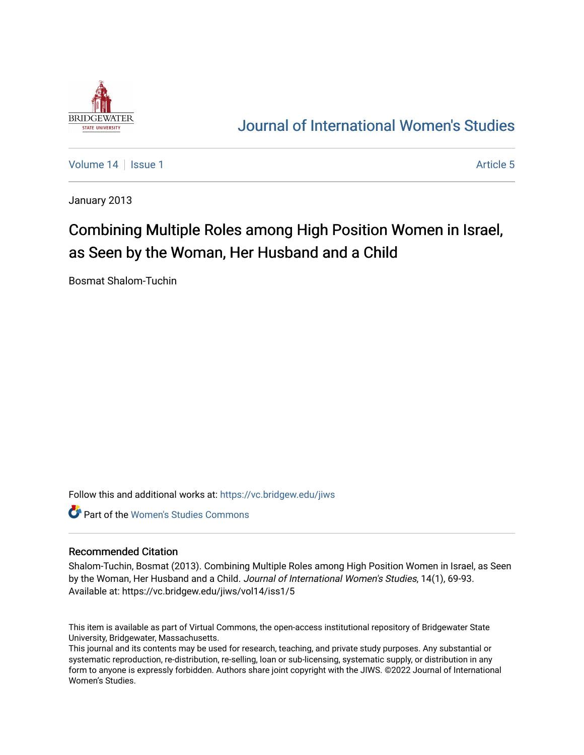

# [Journal of International Women's Studies](https://vc.bridgew.edu/jiws)

[Volume 14](https://vc.bridgew.edu/jiws/vol14) Suitsue 1 Article 5

January 2013

# Combining Multiple Roles among High Position Women in Israel, as Seen by the Woman, Her Husband and a Child

Bosmat Shalom-Tuchin

Follow this and additional works at: [https://vc.bridgew.edu/jiws](https://vc.bridgew.edu/jiws?utm_source=vc.bridgew.edu%2Fjiws%2Fvol14%2Fiss1%2F5&utm_medium=PDF&utm_campaign=PDFCoverPages)

**C** Part of the Women's Studies Commons

#### Recommended Citation

Shalom-Tuchin, Bosmat (2013). Combining Multiple Roles among High Position Women in Israel, as Seen by the Woman, Her Husband and a Child. Journal of International Women's Studies, 14(1), 69-93. Available at: https://vc.bridgew.edu/jiws/vol14/iss1/5

This item is available as part of Virtual Commons, the open-access institutional repository of Bridgewater State University, Bridgewater, Massachusetts.

This journal and its contents may be used for research, teaching, and private study purposes. Any substantial or systematic reproduction, re-distribution, re-selling, loan or sub-licensing, systematic supply, or distribution in any form to anyone is expressly forbidden. Authors share joint copyright with the JIWS. ©2022 Journal of International Women's Studies.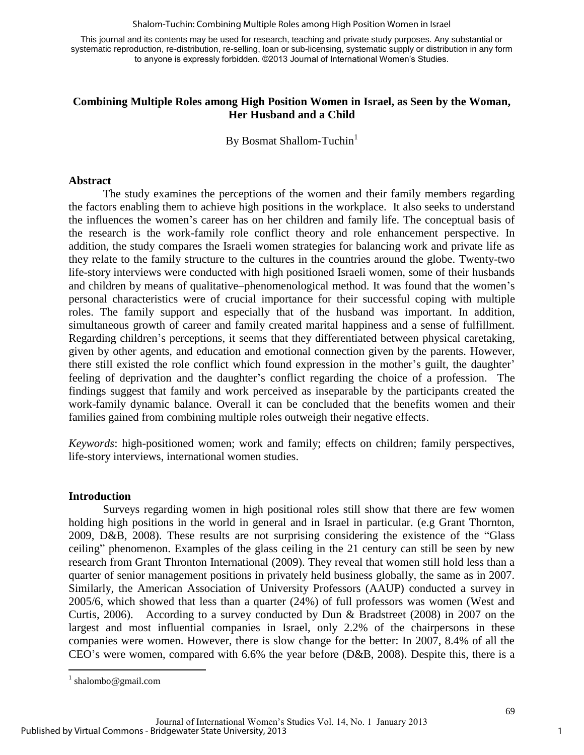Shalom-Tuchin: Combining Multiple Roles among High Position Women in Israel

This journal and its contents may be used for research, teaching and private study purposes. Any substantial or systematic reproduction, re-distribution, re-selling, loan or sub-licensing, systematic supply or distribution in any form to anyone is expressly forbidden. ©2013 Journal of International Women's Studies.

# **Combining Multiple Roles among High Position Women in Israel, as Seen by the Woman, Her Husband and a Child**

By Bosmat Shallom-Tuchin<sup>1</sup>

# **Abstract**

The study examines the perceptions of the women and their family members regarding the factors enabling them to achieve high positions in the workplace. It also seeks to understand the influences the women's career has on her children and family life. The conceptual basis of the research is the work-family role conflict theory and role enhancement perspective. In addition, the study compares the Israeli women strategies for balancing work and private life as they relate to the family structure to the cultures in the countries around the globe. Twenty-two life-story interviews were conducted with high positioned Israeli women, some of their husbands and children by means of qualitative–phenomenological method. It was found that the women's personal characteristics were of crucial importance for their successful coping with multiple roles. The family support and especially that of the husband was important. In addition, simultaneous growth of career and family created marital happiness and a sense of fulfillment. Regarding children's perceptions, it seems that they differentiated between physical caretaking, given by other agents, and education and emotional connection given by the parents. However, there still existed the role conflict which found expression in the mother's guilt, the daughter' feeling of deprivation and the daughter's conflict regarding the choice of a profession. The findings suggest that family and work perceived as inseparable by the participants created the work-family dynamic balance. Overall it can be concluded that the benefits women and their families gained from combining multiple roles outweigh their negative effects.

*Keywords*: high-positioned women; work and family; effects on children; family perspectives, life-story interviews, international women studies.

#### **Introduction**

Surveys regarding women in high positional roles still show that there are few women holding high positions in the world in general and in Israel in particular. (e.g Grant Thornton, 2009, D&B, 2008). These results are not surprising considering the existence of the "Glass ceiling" phenomenon. Examples of the glass ceiling in the 21 century can still be seen by new research from Grant Thronton International (2009). They reveal that women still hold less than a quarter of senior management positions in privately held business globally, the same as in 2007. Similarly, the American Association of University Professors (AAUP) conducted a survey in 2005/6, which showed that less than a quarter (24%) of full professors was women (West and Curtis, 2006). According to a survey conducted by Dun & Bradstreet (2008) in 2007 on the largest and most influential companies in Israel, only 2.2% of the chairpersons in these companies were women. However, there is slow change for the better: In 2007, 8.4% of all the CEO's were women, compared with 6.6% the year before (D&B, 2008). Despite this, there is a

 $\overline{a}$ 

<sup>&</sup>lt;sup>1</sup> shalombo@gmail.com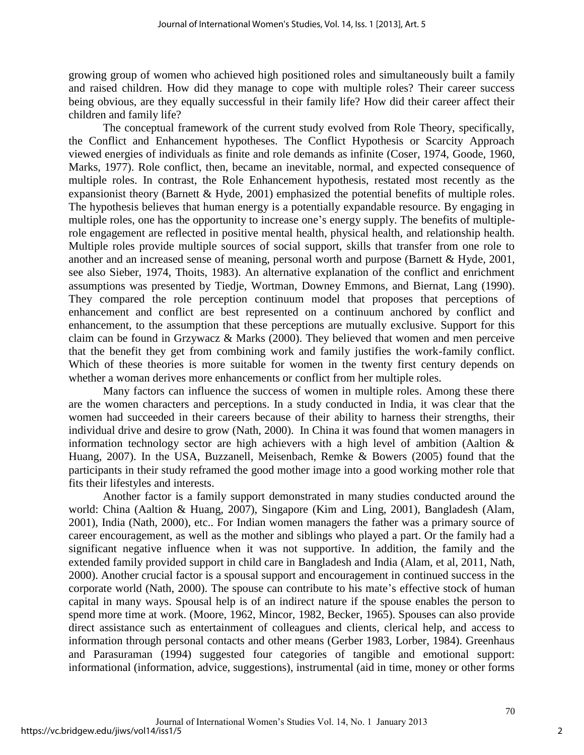growing group of women who achieved high positioned roles and simultaneously built a family and raised children. How did they manage to cope with multiple roles? Their career success being obvious, are they equally successful in their family life? How did their career affect their children and family life?

The conceptual framework of the current study evolved from Role Theory, specifically, the Conflict and Enhancement hypotheses. The Conflict Hypothesis or Scarcity Approach viewed energies of individuals as finite and role demands as infinite (Coser, 1974, Goode, 1960, Marks, 1977). Role conflict, then, became an inevitable, normal, and expected consequence of multiple roles. In contrast, the Role Enhancement hypothesis, restated most recently as the expansionist theory (Barnett & Hyde, 2001) emphasized the potential benefits of multiple roles. The hypothesis believes that human energy is a potentially expandable resource. By engaging in multiple roles, one has the opportunity to increase one's energy supply. The benefits of multiplerole engagement are reflected in positive mental health, physical health, and relationship health. Multiple roles provide multiple sources of social support, skills that transfer from one role to another and an increased sense of meaning, personal worth and purpose (Barnett & Hyde, 2001, see also Sieber, 1974, Thoits, 1983). An alternative explanation of the conflict and enrichment assumptions was presented by Tiedje, Wortman, Downey Emmons, and Biernat, Lang (1990). They compared the role perception continuum model that proposes that perceptions of enhancement and conflict are best represented on a continuum anchored by conflict and enhancement, to the assumption that these perceptions are mutually exclusive. Support for this claim can be found in Grzywacz & Marks (2000). They believed that women and men perceive that the benefit they get from combining work and family justifies the work-family conflict. Which of these theories is more suitable for women in the twenty first century depends on whether a woman derives more enhancements or conflict from her multiple roles.

Many factors can influence the success of women in multiple roles. Among these there are the women characters and perceptions. In a study conducted in India, it was clear that the women had succeeded in their careers because of their ability to harness their strengths, their individual drive and desire to grow (Nath, 2000). In China it was found that women managers in information technology sector are high achievers with a high level of ambition (Aaltion & Huang, 2007). In the USA, Buzzanell, Meisenbach, Remke & Bowers (2005) found that the participants in their study reframed the good mother image into a good working mother role that fits their lifestyles and interests.

Another factor is a family support demonstrated in many studies conducted around the world: China (Aaltion & Huang, 2007), Singapore (Kim and Ling, 2001), Bangladesh (Alam, 2001), India (Nath, 2000), etc.. For Indian women managers the father was a primary source of career encouragement, as well as the mother and siblings who played a part. Or the family had a significant negative influence when it was not supportive. In addition, the family and the extended family provided support in child care in Bangladesh and India (Alam, et al, 2011, Nath, 2000). Another crucial factor is a spousal support and encouragement in continued success in the corporate world (Nath, 2000). The spouse can contribute to his mate's effective stock of human capital in many ways. Spousal help is of an indirect nature if the spouse enables the person to spend more time at work. (Moore, 1962, Mincor, 1982, Becker, 1965). Spouses can also provide direct assistance such as entertainment of colleagues and clients, clerical help, and access to information through personal contacts and other means (Gerber 1983, Lorber, 1984). Greenhaus and Parasuraman (1994) suggested four categories of tangible and emotional support: informational (information, advice, suggestions), instrumental (aid in time, money or other forms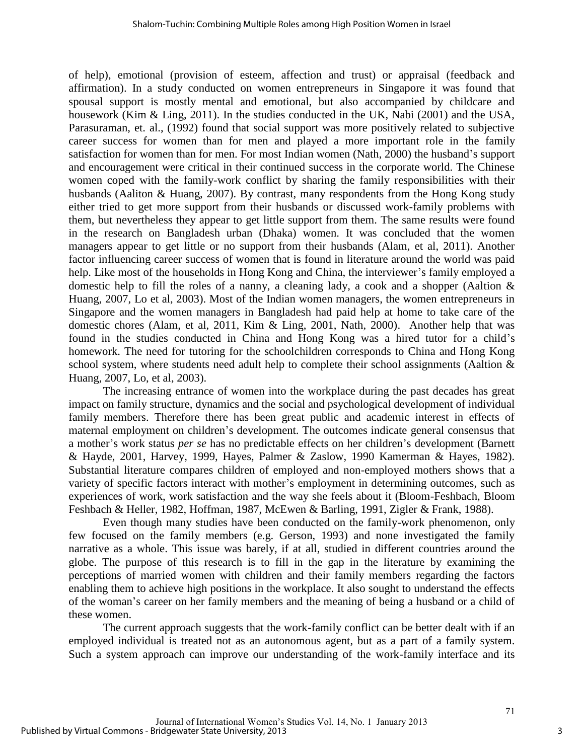of help), emotional (provision of esteem, affection and trust) or appraisal (feedback and affirmation). In a study conducted on women entrepreneurs in Singapore it was found that spousal support is mostly mental and emotional, but also accompanied by childcare and housework (Kim & Ling, 2011). In the studies conducted in the UK, Nabi (2001) and the USA, Parasuraman, et. al., (1992) found that social support was more positively related to subjective career success for women than for men and played a more important role in the family satisfaction for women than for men. For most Indian women (Nath, 2000) the husband's support and encouragement were critical in their continued success in the corporate world. The Chinese women coped with the family-work conflict by sharing the family responsibilities with their husbands (Aaliton & Huang, 2007). By contrast, many respondents from the Hong Kong study either tried to get more support from their husbands or discussed work-family problems with them, but nevertheless they appear to get little support from them. The same results were found in the research on Bangladesh urban (Dhaka) women. It was concluded that the women managers appear to get little or no support from their husbands (Alam, et al, 2011). Another factor influencing career success of women that is found in literature around the world was paid help. Like most of the households in Hong Kong and China, the interviewer's family employed a domestic help to fill the roles of a nanny, a cleaning lady, a cook and a shopper (Aaltion & Huang, 2007, Lo et al, 2003). Most of the Indian women managers, the women entrepreneurs in Singapore and the women managers in Bangladesh had paid help at home to take care of the domestic chores (Alam, et al, 2011, Kim & Ling, 2001, Nath, 2000). Another help that was found in the studies conducted in China and Hong Kong was a hired tutor for a child's homework. The need for tutoring for the schoolchildren corresponds to China and Hong Kong school system, where students need adult help to complete their school assignments (Aaltion  $\&$ Huang, 2007, Lo, et al, 2003).

The increasing entrance of women into the workplace during the past decades has great impact on family structure, dynamics and the social and psychological development of individual family members. Therefore there has been great public and academic interest in effects of maternal employment on children's development. The outcomes indicate general consensus that a mother's work status *per se* has no predictable effects on her children's development (Barnett & Hayde, 2001, Harvey, 1999, Hayes, Palmer & Zaslow, 1990 Kamerman & Hayes, 1982). Substantial literature compares children of employed and non-employed mothers shows that a variety of specific factors interact with mother's employment in determining outcomes, such as experiences of work, work satisfaction and the way she feels about it (Bloom-Feshbach, Bloom Feshbach & Heller, 1982, Hoffman, 1987, McEwen & Barling, 1991, Zigler & Frank, 1988).

Even though many studies have been conducted on the family-work phenomenon, only few focused on the family members (e.g. Gerson, 1993) and none investigated the family narrative as a whole. This issue was barely, if at all, studied in different countries around the globe. The purpose of this research is to fill in the gap in the literature by examining the perceptions of married women with children and their family members regarding the factors enabling them to achieve high positions in the workplace. It also sought to understand the effects of the woman's career on her family members and the meaning of being a husband or a child of these women.

The current approach suggests that the work-family conflict can be better dealt with if an employed individual is treated not as an autonomous agent, but as a part of a family system. Such a system approach can improve our understanding of the work-family interface and its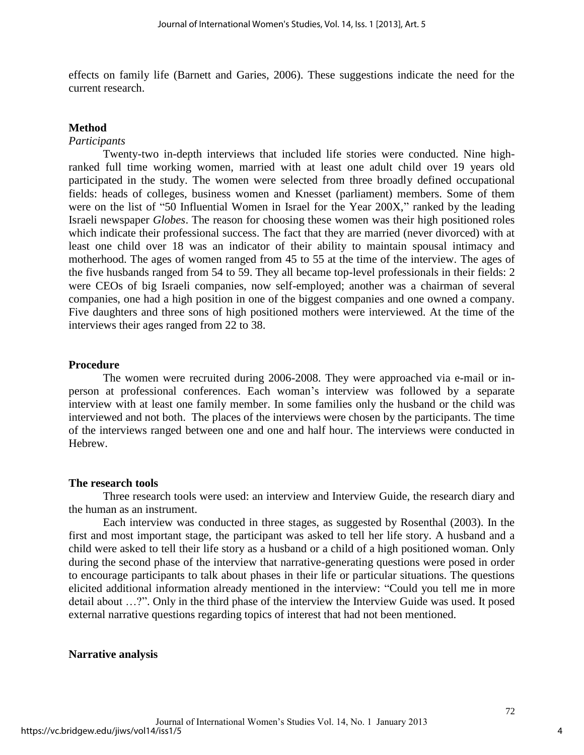effects on family life (Barnett and Garies, 2006). These suggestions indicate the need for the current research.

#### **Method**

# *Participants*

Twenty-two in-depth interviews that included life stories were conducted. Nine highranked full time working women, married with at least one adult child over 19 years old participated in the study. The women were selected from three broadly defined occupational fields: heads of colleges, business women and Knesset (parliament) members. Some of them were on the list of "50 Influential Women in Israel for the Year 200X," ranked by the leading Israeli newspaper *Globes*. The reason for choosing these women was their high positioned roles which indicate their professional success. The fact that they are married (never divorced) with at least one child over 18 was an indicator of their ability to maintain spousal intimacy and motherhood. The ages of women ranged from 45 to 55 at the time of the interview. The ages of the five husbands ranged from 54 to 59. They all became top-level professionals in their fields: 2 were CEOs of big Israeli companies, now self-employed; another was a chairman of several companies, one had a high position in one of the biggest companies and one owned a company. Five daughters and three sons of high positioned mothers were interviewed. At the time of the interviews their ages ranged from 22 to 38.

#### **Procedure**

The women were recruited during 2006-2008. They were approached via e-mail or inperson at professional conferences. Each woman's interview was followed by a separate interview with at least one family member. In some families only the husband or the child was interviewed and not both. The places of the interviews were chosen by the participants. The time of the interviews ranged between one and one and half hour. The interviews were conducted in Hebrew.

#### **The research tools**

Three research tools were used: an interview and Interview Guide, the research diary and the human as an instrument.

 Each interview was conducted in three stages, as suggested by Rosenthal (2003). In the first and most important stage, the participant was asked to tell her life story. A husband and a child were asked to tell their life story as a husband or a child of a high positioned woman. Only during the second phase of the interview that narrative-generating questions were posed in order to encourage participants to talk about phases in their life or particular situations. The questions elicited additional information already mentioned in the interview: "Could you tell me in more detail about …?". Only in the third phase of the interview the Interview Guide was used. It posed external narrative questions regarding topics of interest that had not been mentioned.

#### **Narrative analysis**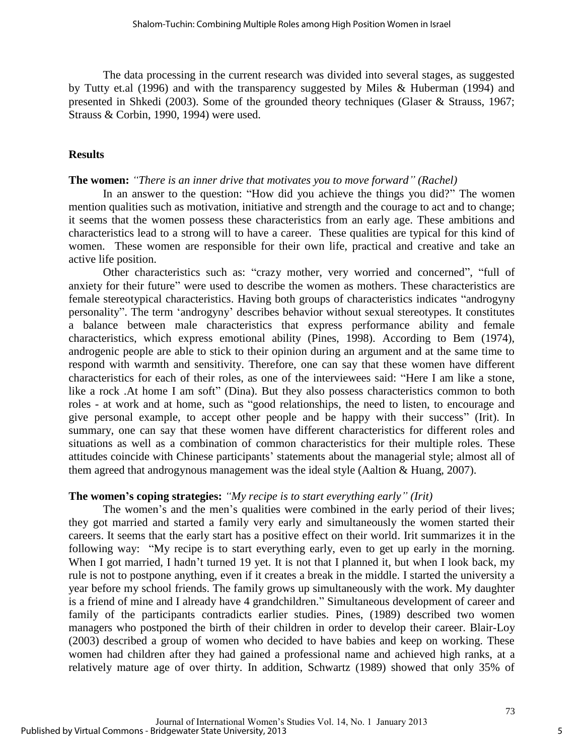The data processing in the current research was divided into several stages, as suggested by Tutty et.al (1996) and with the transparency suggested by Miles & Huberman (1994) and presented in Shkedi (2003). Some of the grounded theory techniques (Glaser & Strauss, 1967; Strauss & Corbin, 1990, 1994) were used.

#### **Results**

#### **The women:** *"There is an inner drive that motivates you to move forward" (Rachel)*

In an answer to the question: "How did you achieve the things you did?" The women mention qualities such as motivation, initiative and strength and the courage to act and to change; it seems that the women possess these characteristics from an early age. These ambitions and characteristics lead to a strong will to have a career. These qualities are typical for this kind of women. These women are responsible for their own life, practical and creative and take an active life position.

Other characteristics such as: "crazy mother, very worried and concerned", "full of anxiety for their future" were used to describe the women as mothers. These characteristics are female stereotypical characteristics. Having both groups of characteristics indicates "androgyny personality". The term 'androgyny' describes behavior without sexual stereotypes. It constitutes a balance between male characteristics that express performance ability and female characteristics, which express emotional ability (Pines, 1998). According to Bem (1974), androgenic people are able to stick to their opinion during an argument and at the same time to respond with warmth and sensitivity. Therefore, one can say that these women have different characteristics for each of their roles, as one of the interviewees said: "Here I am like a stone, like a rock .At home I am soft" (Dina). But they also possess characteristics common to both roles - at work and at home, such as "good relationships, the need to listen, to encourage and give personal example, to accept other people and be happy with their success" (Irit). In summary, one can say that these women have different characteristics for different roles and situations as well as a combination of common characteristics for their multiple roles. These attitudes coincide with Chinese participants' statements about the managerial style; almost all of them agreed that androgynous management was the ideal style (Aaltion & Huang, 2007).

#### **The women's coping strategies:** *"My recipe is to start everything early" (Irit)*

The women's and the men's qualities were combined in the early period of their lives; they got married and started a family very early and simultaneously the women started their careers. It seems that the early start has a positive effect on their world. Irit summarizes it in the following way: "My recipe is to start everything early, even to get up early in the morning. When I got married, I hadn't turned 19 yet. It is not that I planned it, but when I look back, my rule is not to postpone anything, even if it creates a break in the middle. I started the university a year before my school friends. The family grows up simultaneously with the work. My daughter is a friend of mine and I already have 4 grandchildren." Simultaneous development of career and family of the participants contradicts earlier studies. Pines, (1989) described two women managers who postponed the birth of their children in order to develop their career. Blair-Loy (2003) described a group of women who decided to have babies and keep on working. These women had children after they had gained a professional name and achieved high ranks, at a relatively mature age of over thirty. In addition, Schwartz (1989) showed that only 35% of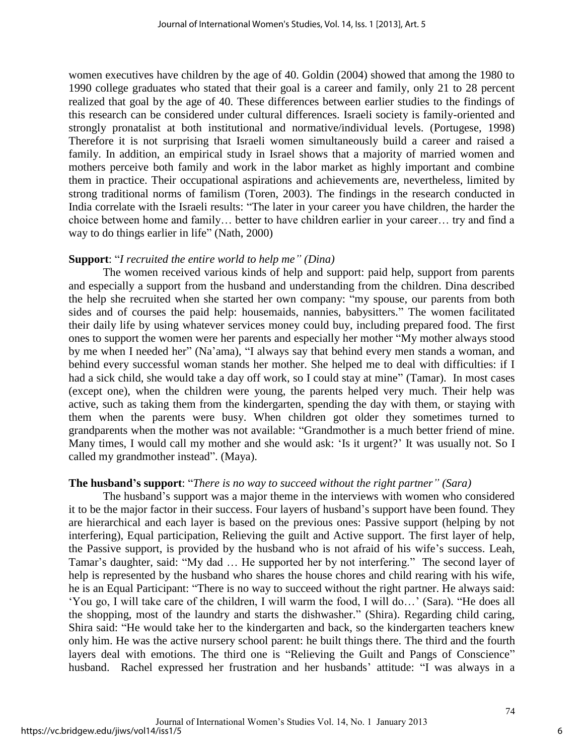women executives have children by the age of 40. Goldin (2004) showed that among the 1980 to 1990 college graduates who stated that their goal is a career and family, only 21 to 28 percent realized that goal by the age of 40. These differences between earlier studies to the findings of this research can be considered under cultural differences. Israeli society is family-oriented and strongly pronatalist at both institutional and normative/individual levels. (Portugese, 1998) Therefore it is not surprising that Israeli women simultaneously build a career and raised a family. In addition, an empirical study in Israel shows that a majority of married women and mothers perceive both family and work in the labor market as highly important and combine them in practice. Their occupational aspirations and achievements are, nevertheless, limited by strong traditional norms of familism (Toren, 2003). The findings in the research conducted in India correlate with the Israeli results: "The later in your career you have children, the harder the choice between home and family… better to have children earlier in your career… try and find a way to do things earlier in life" (Nath, 2000)

#### **Support**: "*I recruited the entire world to help me" (Dina)*

The women received various kinds of help and support: paid help, support from parents and especially a support from the husband and understanding from the children. Dina described the help she recruited when she started her own company: "my spouse, our parents from both sides and of courses the paid help: housemaids, nannies, babysitters." The women facilitated their daily life by using whatever services money could buy, including prepared food. The first ones to support the women were her parents and especially her mother "My mother always stood by me when I needed her" (Na'ama), "I always say that behind every men stands a woman, and behind every successful woman stands her mother. She helped me to deal with difficulties: if I had a sick child, she would take a day off work, so I could stay at mine" (Tamar). In most cases (except one), when the children were young, the parents helped very much. Their help was active, such as taking them from the kindergarten, spending the day with them, or staying with them when the parents were busy. When children got older they sometimes turned to grandparents when the mother was not available: "Grandmother is a much better friend of mine. Many times, I would call my mother and she would ask: 'Is it urgent?' It was usually not. So I called my grandmother instead". (Maya).

#### **The husband's support**: "*There is no way to succeed without the right partner" (Sara)*

The husband's support was a major theme in the interviews with women who considered it to be the major factor in their success. Four layers of husband's support have been found. They are hierarchical and each layer is based on the previous ones: Passive support (helping by not interfering), Equal participation, Relieving the guilt and Active support. The first layer of help, the Passive support, is provided by the husband who is not afraid of his wife's success. Leah, Tamar's daughter, said: "My dad … He supported her by not interfering." The second layer of help is represented by the husband who shares the house chores and child rearing with his wife, he is an Equal Participant: "There is no way to succeed without the right partner. He always said: 'You go, I will take care of the children, I will warm the food, I will do…' (Sara). "He does all the shopping, most of the laundry and starts the dishwasher." (Shira). Regarding child caring, Shira said: "He would take her to the kindergarten and back, so the kindergarten teachers knew only him. He was the active nursery school parent: he built things there. The third and the fourth layers deal with emotions. The third one is "Relieving the Guilt and Pangs of Conscience" husband. Rachel expressed her frustration and her husbands' attitude: "I was always in a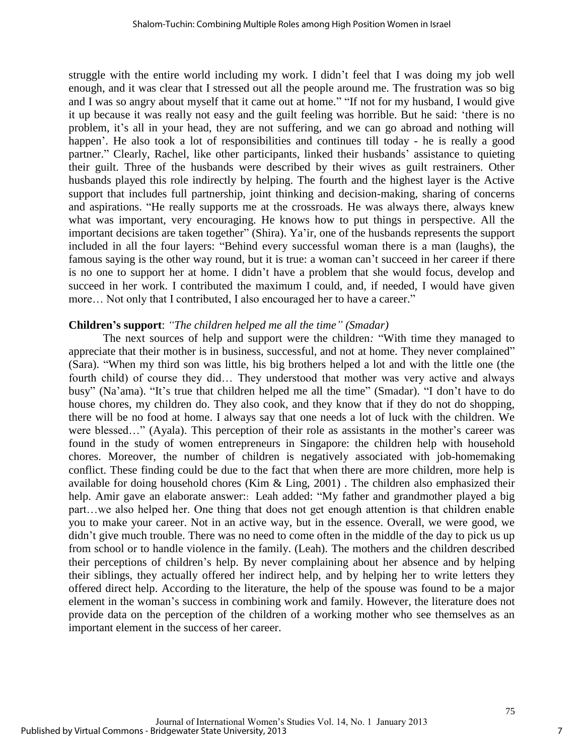struggle with the entire world including my work. I didn't feel that I was doing my job well enough, and it was clear that I stressed out all the people around me. The frustration was so big and I was so angry about myself that it came out at home." "If not for my husband, I would give it up because it was really not easy and the guilt feeling was horrible. But he said: 'there is no problem, it's all in your head, they are not suffering, and we can go abroad and nothing will happen'. He also took a lot of responsibilities and continues till today - he is really a good partner." Clearly, Rachel, like other participants, linked their husbands' assistance to quieting their guilt. Three of the husbands were described by their wives as guilt restrainers. Other husbands played this role indirectly by helping. The fourth and the highest layer is the Active support that includes full partnership, joint thinking and decision-making, sharing of concerns and aspirations. "He really supports me at the crossroads. He was always there, always knew what was important, very encouraging. He knows how to put things in perspective. All the important decisions are taken together" (Shira). Ya'ir, one of the husbands represents the support included in all the four layers: "Behind every successful woman there is a man (laughs), the famous saying is the other way round, but it is true: a woman can't succeed in her career if there is no one to support her at home. I didn't have a problem that she would focus, develop and succeed in her work. I contributed the maximum I could, and, if needed, I would have given more… Not only that I contributed, I also encouraged her to have a career."

### **Children's support**: *"The children helped me all the time" (Smadar)*

The next sources of help and support were the children*:* "With time they managed to appreciate that their mother is in business, successful, and not at home. They never complained" (Sara). "When my third son was little, his big brothers helped a lot and with the little one (the fourth child) of course they did… They understood that mother was very active and always busy" (Na'ama). "It's true that children helped me all the time" (Smadar). "I don't have to do house chores, my children do. They also cook, and they know that if they do not do shopping, there will be no food at home. I always say that one needs a lot of luck with the children. We were blessed…" (Ayala). This perception of their role as assistants in the mother's career was found in the study of women entrepreneurs in Singapore: the children help with household chores. Moreover, the number of children is negatively associated with job-homemaking conflict. These finding could be due to the fact that when there are more children, more help is available for doing household chores (Kim & Ling, 2001) . The children also emphasized their help. Amir gave an elaborate answer:: Leah added: "My father and grandmother played a big part…we also helped her. One thing that does not get enough attention is that children enable you to make your career. Not in an active way, but in the essence. Overall, we were good, we didn't give much trouble. There was no need to come often in the middle of the day to pick us up from school or to handle violence in the family. (Leah). The mothers and the children described their perceptions of children's help. By never complaining about her absence and by helping their siblings, they actually offered her indirect help, and by helping her to write letters they offered direct help. According to the literature, the help of the spouse was found to be a major element in the woman's success in combining work and family. However, the literature does not provide data on the perception of the children of a working mother who see themselves as an important element in the success of her career.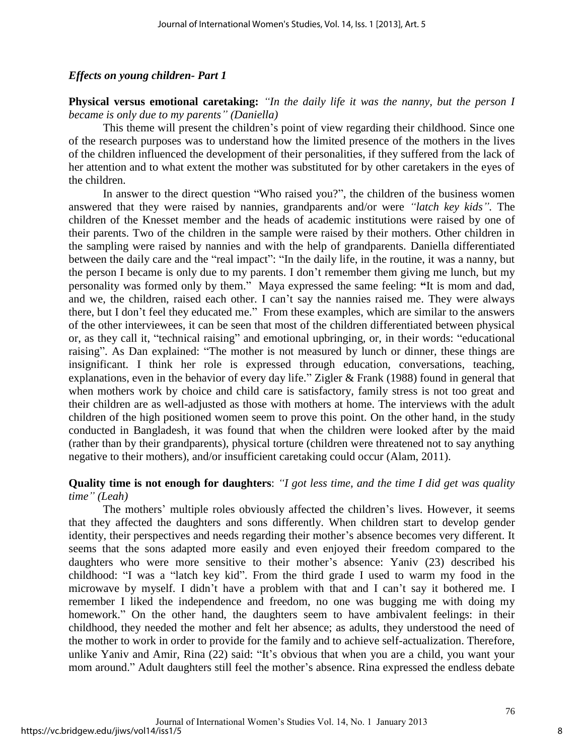#### *Effects on young children- Part 1*

**Physical versus emotional caretaking:** *"In the daily life it was the nanny, but the person I became is only due to my parents" (Daniella)*

This theme will present the children's point of view regarding their childhood. Since one of the research purposes was to understand how the limited presence of the mothers in the lives of the children influenced the development of their personalities, if they suffered from the lack of her attention and to what extent the mother was substituted for by other caretakers in the eyes of the children.

In answer to the direct question "Who raised you?", the children of the business women answered that they were raised by nannies, grandparents and/or were *"latch key kids".* The children of the Knesset member and the heads of academic institutions were raised by one of their parents. Two of the children in the sample were raised by their mothers. Other children in the sampling were raised by nannies and with the help of grandparents. Daniella differentiated between the daily care and the "real impact": "In the daily life, in the routine, it was a nanny, but the person I became is only due to my parents. I don't remember them giving me lunch, but my personality was formed only by them." Maya expressed the same feeling: **"**It is mom and dad, and we, the children, raised each other. I can't say the nannies raised me. They were always there, but I don't feel they educated me." From these examples, which are similar to the answers of the other interviewees, it can be seen that most of the children differentiated between physical or, as they call it, "technical raising" and emotional upbringing, or, in their words: "educational raising". As Dan explained: "The mother is not measured by lunch or dinner, these things are insignificant. I think her role is expressed through education, conversations, teaching, explanations, even in the behavior of every day life." Zigler & Frank (1988) found in general that when mothers work by choice and child care is satisfactory, family stress is not too great and their children are as well-adjusted as those with mothers at home. The interviews with the adult children of the high positioned women seem to prove this point. On the other hand, in the study conducted in Bangladesh, it was found that when the children were looked after by the maid (rather than by their grandparents), physical torture (children were threatened not to say anything negative to their mothers), and/or insufficient caretaking could occur (Alam, 2011).

#### **Quality time is not enough for daughters**: *"I got less time, and the time I did get was quality time" (Leah)*

The mothers' multiple roles obviously affected the children's lives. However, it seems that they affected the daughters and sons differently. When children start to develop gender identity, their perspectives and needs regarding their mother's absence becomes very different. It seems that the sons adapted more easily and even enjoyed their freedom compared to the daughters who were more sensitive to their mother's absence: Yaniv (23) described his childhood: "I was a "latch key kid". From the third grade I used to warm my food in the microwave by myself. I didn't have a problem with that and I can't say it bothered me. I remember I liked the independence and freedom, no one was bugging me with doing my homework." On the other hand, the daughters seem to have ambivalent feelings: in their childhood, they needed the mother and felt her absence; as adults, they understood the need of the mother to work in order to provide for the family and to achieve self-actualization. Therefore, unlike Yaniv and Amir, Rina (22) said: "It's obvious that when you are a child, you want your mom around." Adult daughters still feel the mother's absence. Rina expressed the endless debate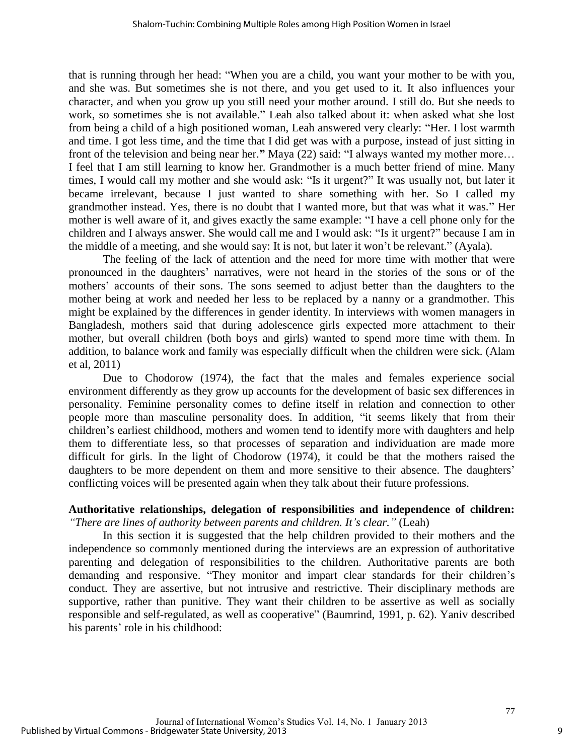that is running through her head: "When you are a child, you want your mother to be with you, and she was. But sometimes she is not there, and you get used to it. It also influences your character, and when you grow up you still need your mother around. I still do. But she needs to work, so sometimes she is not available." Leah also talked about it: when asked what she lost from being a child of a high positioned woman, Leah answered very clearly: "Her. I lost warmth and time. I got less time, and the time that I did get was with a purpose, instead of just sitting in front of the television and being near her.**"** Maya (22) said: "I always wanted my mother more… I feel that I am still learning to know her. Grandmother is a much better friend of mine. Many times, I would call my mother and she would ask: "Is it urgent?" It was usually not, but later it became irrelevant, because I just wanted to share something with her. So I called my grandmother instead. Yes, there is no doubt that I wanted more, but that was what it was." Her mother is well aware of it, and gives exactly the same example: "I have a cell phone only for the children and I always answer. She would call me and I would ask: "Is it urgent?" because I am in the middle of a meeting, and she would say: It is not, but later it won't be relevant." (Ayala).

The feeling of the lack of attention and the need for more time with mother that were pronounced in the daughters' narratives, were not heard in the stories of the sons or of the mothers' accounts of their sons. The sons seemed to adjust better than the daughters to the mother being at work and needed her less to be replaced by a nanny or a grandmother. This might be explained by the differences in gender identity. In interviews with women managers in Bangladesh, mothers said that during adolescence girls expected more attachment to their mother, but overall children (both boys and girls) wanted to spend more time with them. In addition, to balance work and family was especially difficult when the children were sick. (Alam et al, 2011)

Due to Chodorow (1974), the fact that the males and females experience social environment differently as they grow up accounts for the development of basic sex differences in personality. Feminine personality comes to define itself in relation and connection to other people more than masculine personality does. In addition, "it seems likely that from their children's earliest childhood, mothers and women tend to identify more with daughters and help them to differentiate less, so that processes of separation and individuation are made more difficult for girls. In the light of Chodorow (1974), it could be that the mothers raised the daughters to be more dependent on them and more sensitive to their absence. The daughters' conflicting voices will be presented again when they talk about their future professions.

## **Authoritative relationships, delegation of responsibilities and independence of children:** *"There are lines of authority between parents and children. It's clear."* (Leah)

In this section it is suggested that the help children provided to their mothers and the independence so commonly mentioned during the interviews are an expression of authoritative parenting and delegation of responsibilities to the children. Authoritative parents are both demanding and responsive. "They monitor and impart clear standards for their children's conduct. They are assertive, but not intrusive and restrictive. Their disciplinary methods are supportive, rather than punitive. They want their children to be assertive as well as socially responsible and self-regulated, as well as cooperative" (Baumrind, 1991, p. 62). Yaniv described his parents' role in his childhood: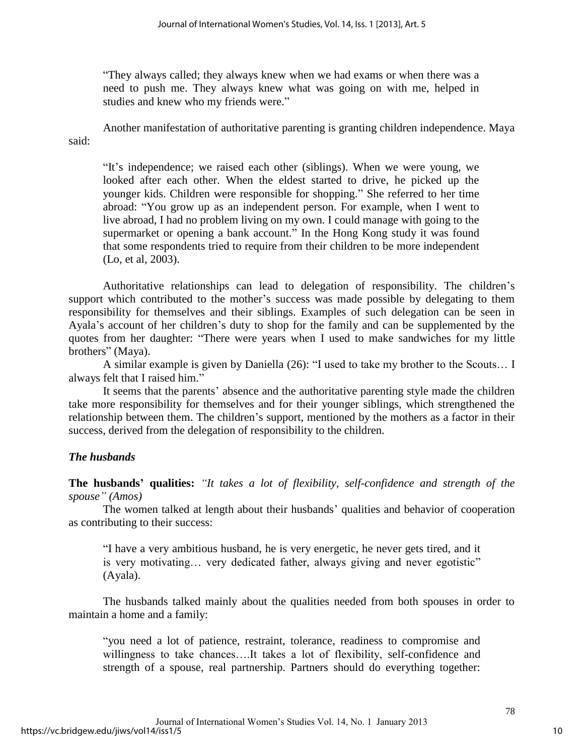"They always called; they always knew when we had exams or when there was a need to push me. They always knew what was going on with me, helped in studies and knew who my friends were."

 Another manifestation of authoritative parenting is granting children independence. Maya said:

"It's independence; we raised each other (siblings). When we were young, we looked after each other. When the eldest started to drive, he picked up the younger kids. Children were responsible for shopping." She referred to her time abroad: "You grow up as an independent person. For example, when I went to live abroad, I had no problem living on my own. I could manage with going to the supermarket or opening a bank account." In the Hong Kong study it was found that some respondents tried to require from their children to be more independent (Lo, et al, 2003).

Authoritative relationships can lead to delegation of responsibility. The children's support which contributed to the mother's success was made possible by delegating to them responsibility for themselves and their siblings. Examples of such delegation can be seen in Ayala's account of her children's duty to shop for the family and can be supplemented by the quotes from her daughter: "There were years when I used to make sandwiches for my little brothers" (Maya).

A similar example is given by Daniella (26): "I used to take my brother to the Scouts… I always felt that I raised him."

It seems that the parents' absence and the authoritative parenting style made the children take more responsibility for themselves and for their younger siblings, which strengthened the relationship between them. The children's support, mentioned by the mothers as a factor in their success, derived from the delegation of responsibility to the children.

# *The husbands*

**The husbands' qualities:** *"It takes a lot of flexibility, self-confidence and strength of the spouse" (Amos)*

The women talked at length about their husbands' qualities and behavior of cooperation as contributing to their success:

"I have a very ambitious husband, he is very energetic, he never gets tired, and it is very motivating… very dedicated father, always giving and never egotistic" (Ayala).

The husbands talked mainly about the qualities needed from both spouses in order to maintain a home and a family:

"you need a lot of patience, restraint, tolerance, readiness to compromise and willingness to take chances….It takes a lot of flexibility, self-confidence and strength of a spouse, real partnership. Partners should do everything together: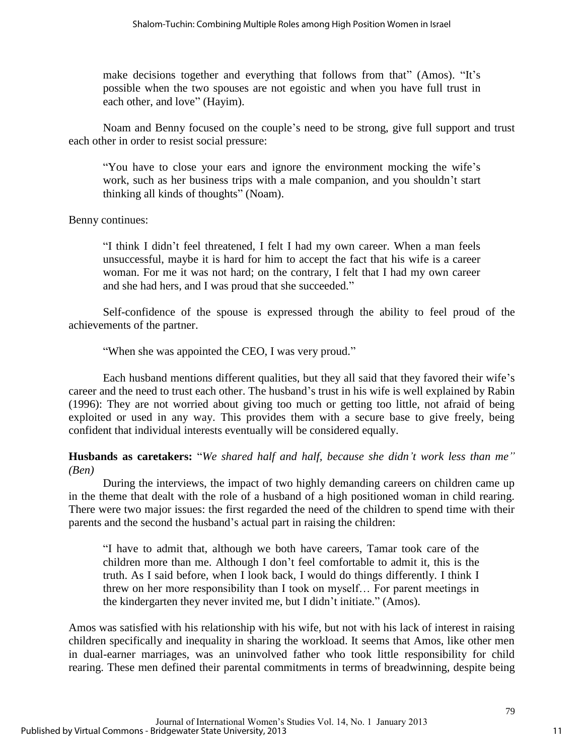make decisions together and everything that follows from that" (Amos). "It's possible when the two spouses are not egoistic and when you have full trust in each other, and love" (Hayim).

Noam and Benny focused on the couple's need to be strong, give full support and trust each other in order to resist social pressure:

"You have to close your ears and ignore the environment mocking the wife's work, such as her business trips with a male companion, and you shouldn't start thinking all kinds of thoughts" (Noam).

Benny continues:

"I think I didn't feel threatened, I felt I had my own career. When a man feels unsuccessful, maybe it is hard for him to accept the fact that his wife is a career woman. For me it was not hard; on the contrary, I felt that I had my own career and she had hers, and I was proud that she succeeded."

Self-confidence of the spouse is expressed through the ability to feel proud of the achievements of the partner.

"When she was appointed the CEO, I was very proud."

Each husband mentions different qualities, but they all said that they favored their wife's career and the need to trust each other. The husband's trust in his wife is well explained by Rabin (1996): They are not worried about giving too much or getting too little, not afraid of being exploited or used in any way. This provides them with a secure base to give freely, being confident that individual interests eventually will be considered equally.

**Husbands as caretakers:** "*We shared half and half, because she didn't work less than me" (Ben)*

During the interviews, the impact of two highly demanding careers on children came up in the theme that dealt with the role of a husband of a high positioned woman in child rearing. There were two major issues: the first regarded the need of the children to spend time with their parents and the second the husband's actual part in raising the children:

"I have to admit that, although we both have careers, Tamar took care of the children more than me. Although I don't feel comfortable to admit it, this is the truth. As I said before, when I look back, I would do things differently. I think I threw on her more responsibility than I took on myself… For parent meetings in the kindergarten they never invited me, but I didn't initiate." (Amos).

Amos was satisfied with his relationship with his wife, but not with his lack of interest in raising children specifically and inequality in sharing the workload. It seems that Amos, like other men in dual-earner marriages, was an uninvolved father who took little responsibility for child rearing. These men defined their parental commitments in terms of breadwinning, despite being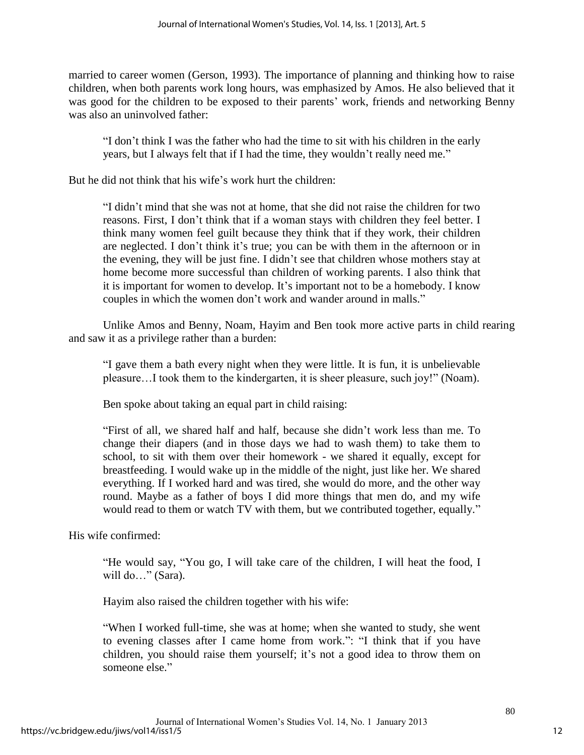married to career women (Gerson, 1993). The importance of planning and thinking how to raise children, when both parents work long hours, was emphasized by Amos. He also believed that it was good for the children to be exposed to their parents' work, friends and networking Benny was also an uninvolved father:

"I don't think I was the father who had the time to sit with his children in the early years, but I always felt that if I had the time, they wouldn't really need me."

But he did not think that his wife's work hurt the children:

"I didn't mind that she was not at home, that she did not raise the children for two reasons. First, I don't think that if a woman stays with children they feel better. I think many women feel guilt because they think that if they work, their children are neglected. I don't think it's true; you can be with them in the afternoon or in the evening, they will be just fine. I didn't see that children whose mothers stay at home become more successful than children of working parents. I also think that it is important for women to develop. It's important not to be a homebody. I know couples in which the women don't work and wander around in malls."

Unlike Amos and Benny, Noam, Hayim and Ben took more active parts in child rearing and saw it as a privilege rather than a burden:

"I gave them a bath every night when they were little. It is fun, it is unbelievable pleasure…I took them to the kindergarten, it is sheer pleasure, such joy!" (Noam).

Ben spoke about taking an equal part in child raising:

"First of all, we shared half and half, because she didn't work less than me. To change their diapers (and in those days we had to wash them) to take them to school, to sit with them over their homework - we shared it equally, except for breastfeeding. I would wake up in the middle of the night, just like her. We shared everything. If I worked hard and was tired, she would do more, and the other way round. Maybe as a father of boys I did more things that men do, and my wife would read to them or watch TV with them, but we contributed together, equally."

His wife confirmed:

"He would say, "You go, I will take care of the children, I will heat the food, I will do..." (Sara).

Hayim also raised the children together with his wife:

"When I worked full-time, she was at home; when she wanted to study, she went to evening classes after I came home from work.": "I think that if you have children, you should raise them yourself; it's not a good idea to throw them on someone else."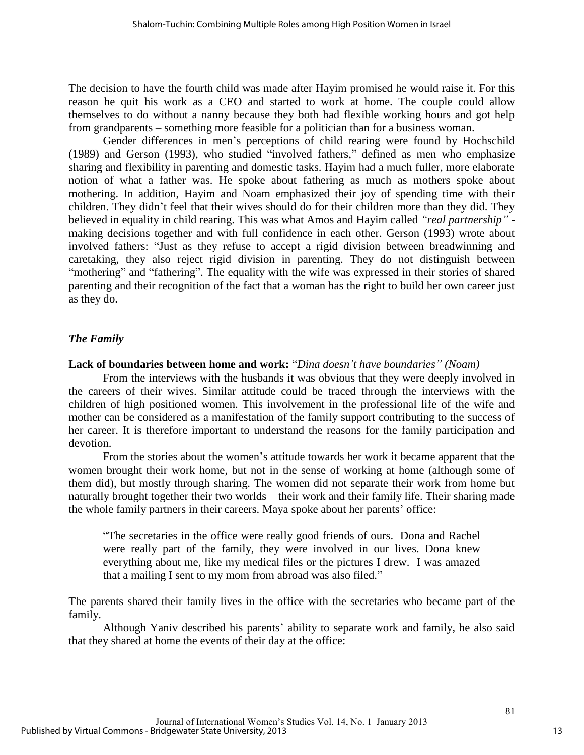The decision to have the fourth child was made after Hayim promised he would raise it. For this reason he quit his work as a CEO and started to work at home. The couple could allow themselves to do without a nanny because they both had flexible working hours and got help from grandparents – something more feasible for a politician than for a business woman.

Gender differences in men's perceptions of child rearing were found by Hochschild (1989) and Gerson (1993), who studied "involved fathers," defined as men who emphasize sharing and flexibility in parenting and domestic tasks. Hayim had a much fuller, more elaborate notion of what a father was. He spoke about fathering as much as mothers spoke about mothering. In addition, Hayim and Noam emphasized their joy of spending time with their children. They didn't feel that their wives should do for their children more than they did. They believed in equality in child rearing. This was what Amos and Hayim called *"real partnership"* making decisions together and with full confidence in each other. Gerson (1993) wrote about involved fathers: "Just as they refuse to accept a rigid division between breadwinning and caretaking, they also reject rigid division in parenting. They do not distinguish between "mothering" and "fathering". The equality with the wife was expressed in their stories of shared parenting and their recognition of the fact that a woman has the right to build her own career just as they do.

# *The Family*

# **Lack of boundaries between home and work:** "*Dina doesn't have boundaries" (Noam)*

From the interviews with the husbands it was obvious that they were deeply involved in the careers of their wives. Similar attitude could be traced through the interviews with the children of high positioned women. This involvement in the professional life of the wife and mother can be considered as a manifestation of the family support contributing to the success of her career. It is therefore important to understand the reasons for the family participation and devotion.

From the stories about the women's attitude towards her work it became apparent that the women brought their work home, but not in the sense of working at home (although some of them did), but mostly through sharing. The women did not separate their work from home but naturally brought together their two worlds – their work and their family life. Their sharing made the whole family partners in their careers. Maya spoke about her parents' office:

"The secretaries in the office were really good friends of ours. Dona and Rachel were really part of the family, they were involved in our lives. Dona knew everything about me, like my medical files or the pictures I drew. I was amazed that a mailing I sent to my mom from abroad was also filed."

The parents shared their family lives in the office with the secretaries who became part of the family.

Although Yaniv described his parents' ability to separate work and family, he also said that they shared at home the events of their day at the office: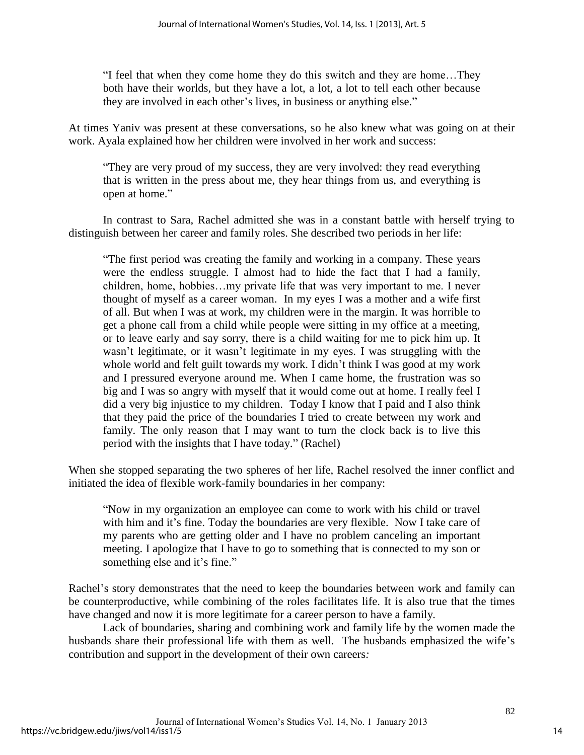"I feel that when they come home they do this switch and they are home…They both have their worlds, but they have a lot, a lot, a lot to tell each other because they are involved in each other's lives, in business or anything else."

At times Yaniv was present at these conversations, so he also knew what was going on at their work. Ayala explained how her children were involved in her work and success:

"They are very proud of my success, they are very involved: they read everything that is written in the press about me, they hear things from us, and everything is open at home."

In contrast to Sara, Rachel admitted she was in a constant battle with herself trying to distinguish between her career and family roles. She described two periods in her life:

"The first period was creating the family and working in a company. These years were the endless struggle. I almost had to hide the fact that I had a family, children, home, hobbies…my private life that was very important to me. I never thought of myself as a career woman. In my eyes I was a mother and a wife first of all. But when I was at work, my children were in the margin. It was horrible to get a phone call from a child while people were sitting in my office at a meeting, or to leave early and say sorry, there is a child waiting for me to pick him up. It wasn't legitimate, or it wasn't legitimate in my eyes. I was struggling with the whole world and felt guilt towards my work. I didn't think I was good at my work and I pressured everyone around me. When I came home, the frustration was so big and I was so angry with myself that it would come out at home. I really feel I did a very big injustice to my children. Today I know that I paid and I also think that they paid the price of the boundaries I tried to create between my work and family. The only reason that I may want to turn the clock back is to live this period with the insights that I have today." (Rachel)

When she stopped separating the two spheres of her life, Rachel resolved the inner conflict and initiated the idea of flexible work-family boundaries in her company:

"Now in my organization an employee can come to work with his child or travel with him and it's fine. Today the boundaries are very flexible. Now I take care of my parents who are getting older and I have no problem canceling an important meeting. I apologize that I have to go to something that is connected to my son or something else and it's fine."

Rachel's story demonstrates that the need to keep the boundaries between work and family can be counterproductive, while combining of the roles facilitates life. It is also true that the times have changed and now it is more legitimate for a career person to have a family.

Lack of boundaries, sharing and combining work and family life by the women made the husbands share their professional life with them as well. The husbands emphasized the wife's contribution and support in the development of their own careers*:*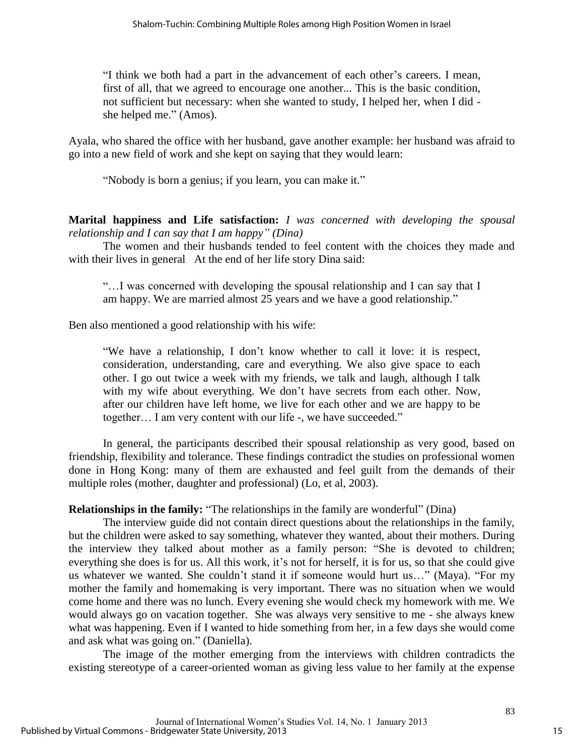"I think we both had a part in the advancement of each other's careers. I mean, first of all, that we agreed to encourage one another... This is the basic condition, not sufficient but necessary: when she wanted to study, I helped her, when I did she helped me." (Amos).

Ayala, who shared the office with her husband, gave another example: her husband was afraid to go into a new field of work and she kept on saying that they would learn:

"Nobody is born a genius; if you learn, you can make it."

**Marital happiness and Life satisfaction:** *I was concerned with developing the spousal relationship and I can say that I am happy" (Dina)*

The women and their husbands tended to feel content with the choices they made and with their lives in general At the end of her life story Dina said:

"…I was concerned with developing the spousal relationship and I can say that I am happy. We are married almost 25 years and we have a good relationship."

Ben also mentioned a good relationship with his wife:

"We have a relationship, I don't know whether to call it love: it is respect, consideration, understanding, care and everything. We also give space to each other. I go out twice a week with my friends, we talk and laugh, although I talk with my wife about everything. We don't have secrets from each other. Now, after our children have left home, we live for each other and we are happy to be together… I am very content with our life -, we have succeeded."

In general, the participants described their spousal relationship as very good, based on friendship, flexibility and tolerance. These findings contradict the studies on professional women done in Hong Kong: many of them are exhausted and feel guilt from the demands of their multiple roles (mother, daughter and professional) (Lo, et al, 2003).

# **Relationships in the family:** "The relationships in the family are wonderful" (Dina)

The interview guide did not contain direct questions about the relationships in the family, but the children were asked to say something, whatever they wanted, about their mothers. During the interview they talked about mother as a family person: "She is devoted to children; everything she does is for us. All this work, it's not for herself, it is for us, so that she could give us whatever we wanted. She couldn't stand it if someone would hurt us…" (Maya). "For my mother the family and homemaking is very important. There was no situation when we would come home and there was no lunch. Every evening she would check my homework with me. We would always go on vacation together. She was always very sensitive to me - she always knew what was happening. Even if I wanted to hide something from her, in a few days she would come and ask what was going on." (Daniella).

The image of the mother emerging from the interviews with children contradicts the existing stereotype of a career-oriented woman as giving less value to her family at the expense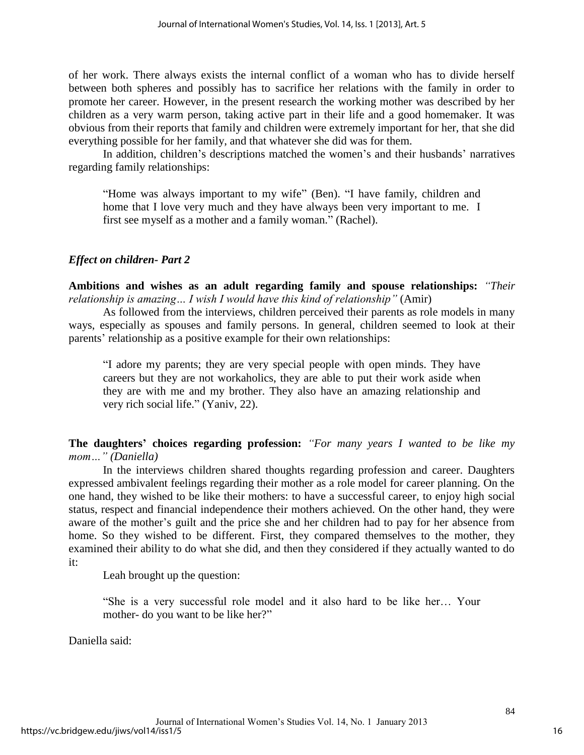of her work. There always exists the internal conflict of a woman who has to divide herself between both spheres and possibly has to sacrifice her relations with the family in order to promote her career. However, in the present research the working mother was described by her children as a very warm person, taking active part in their life and a good homemaker. It was obvious from their reports that family and children were extremely important for her, that she did everything possible for her family, and that whatever she did was for them.

In addition, children's descriptions matched the women's and their husbands' narratives regarding family relationships:

"Home was always important to my wife" (Ben). "I have family, children and home that I love very much and they have always been very important to me. I first see myself as a mother and a family woman." (Rachel).

# *Effect on children- Part 2*

**Ambitions and wishes as an adult regarding family and spouse relationships:** *"Their relationship is amazing… I wish I would have this kind of relationship"* (Amir)

As followed from the interviews, children perceived their parents as role models in many ways, especially as spouses and family persons. In general, children seemed to look at their parents' relationship as a positive example for their own relationships:

"I adore my parents; they are very special people with open minds. They have careers but they are not workaholics, they are able to put their work aside when they are with me and my brother. They also have an amazing relationship and very rich social life." (Yaniv, 22).

**The daughters' choices regarding profession:** *"For many years I wanted to be like my mom…" (Daniella)*

In the interviews children shared thoughts regarding profession and career. Daughters expressed ambivalent feelings regarding their mother as a role model for career planning. On the one hand, they wished to be like their mothers: to have a successful career, to enjoy high social status, respect and financial independence their mothers achieved. On the other hand, they were aware of the mother's guilt and the price she and her children had to pay for her absence from home. So they wished to be different. First, they compared themselves to the mother, they examined their ability to do what she did, and then they considered if they actually wanted to do it:

Leah brought up the question:

"She is a very successful role model and it also hard to be like her… Your mother- do you want to be like her?"

Daniella said: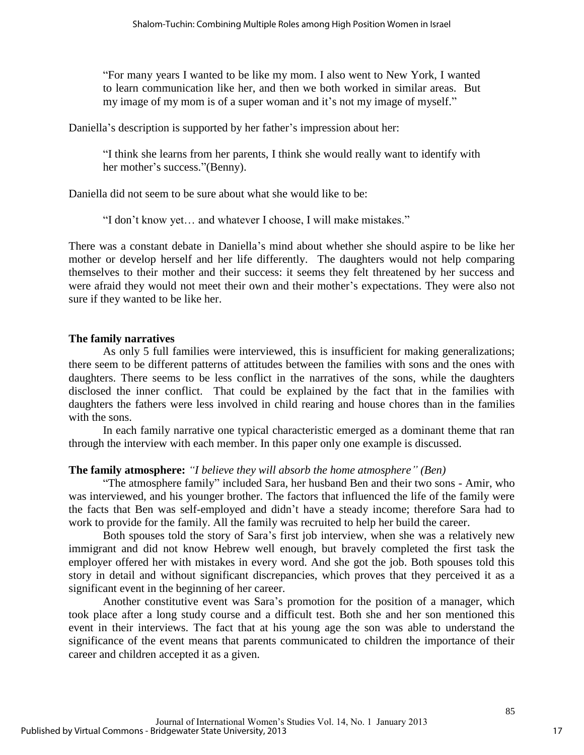"For many years I wanted to be like my mom. I also went to New York, I wanted to learn communication like her, and then we both worked in similar areas. But my image of my mom is of a super woman and it's not my image of myself."

Daniella's description is supported by her father's impression about her:

"I think she learns from her parents, I think she would really want to identify with her mother's success."(Benny).

Daniella did not seem to be sure about what she would like to be:

"I don't know yet… and whatever I choose, I will make mistakes."

There was a constant debate in Daniella's mind about whether she should aspire to be like her mother or develop herself and her life differently. The daughters would not help comparing themselves to their mother and their success: it seems they felt threatened by her success and were afraid they would not meet their own and their mother's expectations. They were also not sure if they wanted to be like her.

### **The family narratives**

As only 5 full families were interviewed, this is insufficient for making generalizations; there seem to be different patterns of attitudes between the families with sons and the ones with daughters. There seems to be less conflict in the narratives of the sons, while the daughters disclosed the inner conflict. That could be explained by the fact that in the families with daughters the fathers were less involved in child rearing and house chores than in the families with the sons.

In each family narrative one typical characteristic emerged as a dominant theme that ran through the interview with each member. In this paper only one example is discussed.

# **The family atmosphere:** *"I believe they will absorb the home atmosphere" (Ben)*

"The atmosphere family" included Sara, her husband Ben and their two sons - Amir, who was interviewed, and his younger brother. The factors that influenced the life of the family were the facts that Ben was self-employed and didn't have a steady income; therefore Sara had to work to provide for the family. All the family was recruited to help her build the career.

Both spouses told the story of Sara's first job interview, when she was a relatively new immigrant and did not know Hebrew well enough, but bravely completed the first task the employer offered her with mistakes in every word. And she got the job. Both spouses told this story in detail and without significant discrepancies, which proves that they perceived it as a significant event in the beginning of her career.

Another constitutive event was Sara's promotion for the position of a manager, which took place after a long study course and a difficult test. Both she and her son mentioned this event in their interviews. The fact that at his young age the son was able to understand the significance of the event means that parents communicated to children the importance of their career and children accepted it as a given.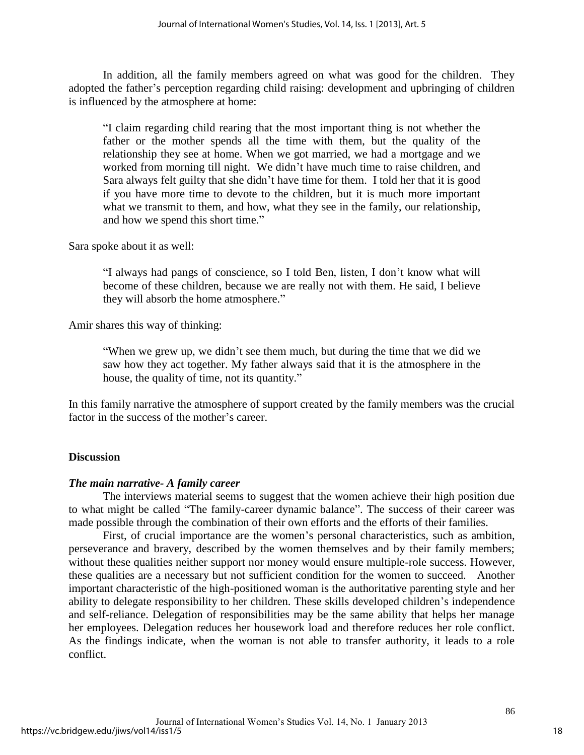In addition, all the family members agreed on what was good for the children. They adopted the father's perception regarding child raising: development and upbringing of children is influenced by the atmosphere at home:

"I claim regarding child rearing that the most important thing is not whether the father or the mother spends all the time with them, but the quality of the relationship they see at home. When we got married, we had a mortgage and we worked from morning till night. We didn't have much time to raise children, and Sara always felt guilty that she didn't have time for them. I told her that it is good if you have more time to devote to the children, but it is much more important what we transmit to them, and how, what they see in the family, our relationship, and how we spend this short time."

Sara spoke about it as well:

"I always had pangs of conscience, so I told Ben, listen, I don't know what will become of these children, because we are really not with them. He said, I believe they will absorb the home atmosphere."

Amir shares this way of thinking:

"When we grew up, we didn't see them much, but during the time that we did we saw how they act together. My father always said that it is the atmosphere in the house, the quality of time, not its quantity."

In this family narrative the atmosphere of support created by the family members was the crucial factor in the success of the mother's career.

# **Discussion**

# *The main narrative- A family career*

The interviews material seems to suggest that the women achieve their high position due to what might be called "The family-career dynamic balance". The success of their career was made possible through the combination of their own efforts and the efforts of their families.

First, of crucial importance are the women's personal characteristics, such as ambition, perseverance and bravery, described by the women themselves and by their family members; without these qualities neither support nor money would ensure multiple-role success. However, these qualities are a necessary but not sufficient condition for the women to succeed. Another important characteristic of the high-positioned woman is the authoritative parenting style and her ability to delegate responsibility to her children. These skills developed children's independence and self-reliance. Delegation of responsibilities may be the same ability that helps her manage her employees. Delegation reduces her housework load and therefore reduces her role conflict. As the findings indicate, when the woman is not able to transfer authority, it leads to a role conflict.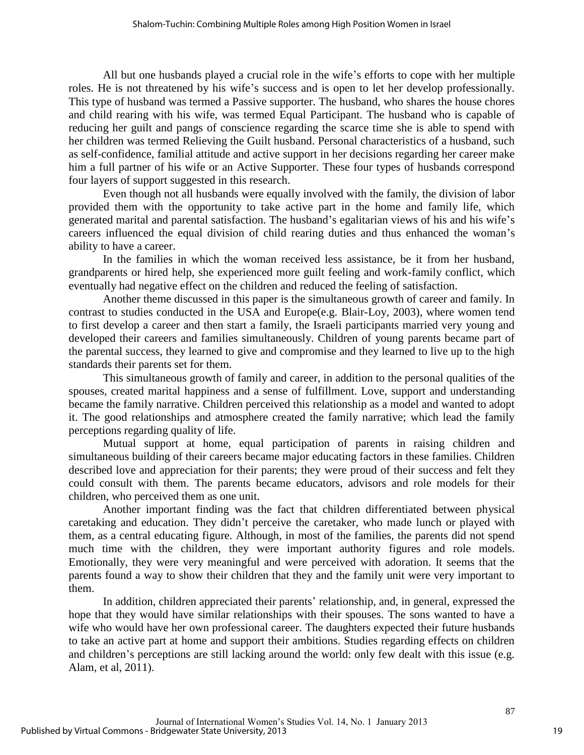All but one husbands played a crucial role in the wife's efforts to cope with her multiple roles. He is not threatened by his wife's success and is open to let her develop professionally. This type of husband was termed a Passive supporter. The husband, who shares the house chores and child rearing with his wife, was termed Equal Participant. The husband who is capable of reducing her guilt and pangs of conscience regarding the scarce time she is able to spend with her children was termed Relieving the Guilt husband. Personal characteristics of a husband, such as self-confidence, familial attitude and active support in her decisions regarding her career make him a full partner of his wife or an Active Supporter. These four types of husbands correspond four layers of support suggested in this research.

Even though not all husbands were equally involved with the family, the division of labor provided them with the opportunity to take active part in the home and family life, which generated marital and parental satisfaction. The husband's egalitarian views of his and his wife's careers influenced the equal division of child rearing duties and thus enhanced the woman's ability to have a career.

In the families in which the woman received less assistance, be it from her husband, grandparents or hired help, she experienced more guilt feeling and work-family conflict, which eventually had negative effect on the children and reduced the feeling of satisfaction.

Another theme discussed in this paper is the simultaneous growth of career and family. In contrast to studies conducted in the USA and Europe(e.g. Blair-Loy, 2003), where women tend to first develop a career and then start a family, the Israeli participants married very young and developed their careers and families simultaneously. Children of young parents became part of the parental success, they learned to give and compromise and they learned to live up to the high standards their parents set for them.

This simultaneous growth of family and career, in addition to the personal qualities of the spouses, created marital happiness and a sense of fulfillment. Love, support and understanding became the family narrative. Children perceived this relationship as a model and wanted to adopt it. The good relationships and atmosphere created the family narrative; which lead the family perceptions regarding quality of life.

Mutual support at home, equal participation of parents in raising children and simultaneous building of their careers became major educating factors in these families. Children described love and appreciation for their parents; they were proud of their success and felt they could consult with them. The parents became educators, advisors and role models for their children, who perceived them as one unit.

Another important finding was the fact that children differentiated between physical caretaking and education. They didn't perceive the caretaker, who made lunch or played with them, as a central educating figure. Although, in most of the families, the parents did not spend much time with the children, they were important authority figures and role models. Emotionally, they were very meaningful and were perceived with adoration. It seems that the parents found a way to show their children that they and the family unit were very important to them.

In addition, children appreciated their parents' relationship, and, in general, expressed the hope that they would have similar relationships with their spouses. The sons wanted to have a wife who would have her own professional career. The daughters expected their future husbands to take an active part at home and support their ambitions. Studies regarding effects on children and children's perceptions are still lacking around the world: only few dealt with this issue (e.g. Alam, et al, 2011).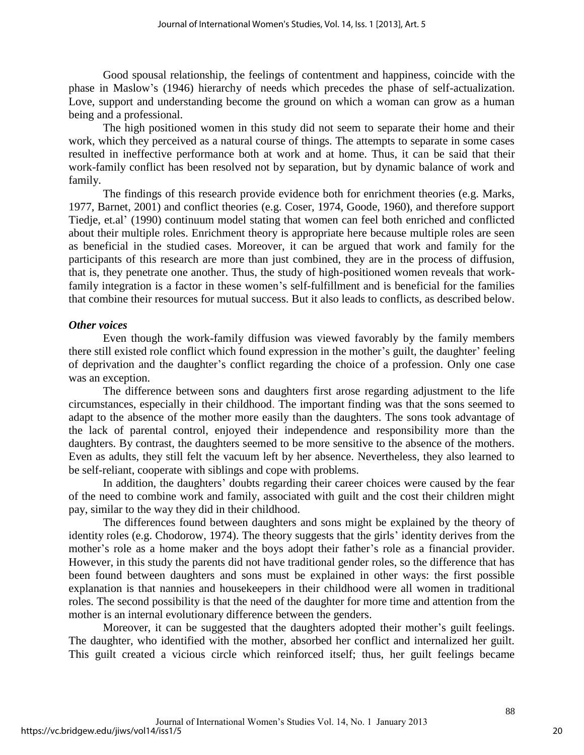Good spousal relationship, the feelings of contentment and happiness, coincide with the phase in Maslow's (1946) hierarchy of needs which precedes the phase of self-actualization. Love, support and understanding become the ground on which a woman can grow as a human being and a professional.

The high positioned women in this study did not seem to separate their home and their work, which they perceived as a natural course of things. The attempts to separate in some cases resulted in ineffective performance both at work and at home. Thus, it can be said that their work-family conflict has been resolved not by separation, but by dynamic balance of work and family.

The findings of this research provide evidence both for enrichment theories (e.g. Marks, 1977, Barnet, 2001) and conflict theories (e.g. Coser, 1974, Goode, 1960), and therefore support Tiedje, et.al' (1990) continuum model stating that women can feel both enriched and conflicted about their multiple roles. Enrichment theory is appropriate here because multiple roles are seen as beneficial in the studied cases. Moreover, it can be argued that work and family for the participants of this research are more than just combined, they are in the process of diffusion, that is, they penetrate one another. Thus, the study of high-positioned women reveals that workfamily integration is a factor in these women's self-fulfillment and is beneficial for the families that combine their resources for mutual success. But it also leads to conflicts, as described below.

#### *Other voices*

Even though the work-family diffusion was viewed favorably by the family members there still existed role conflict which found expression in the mother's guilt, the daughter' feeling of deprivation and the daughter's conflict regarding the choice of a profession. Only one case was an exception.

The difference between sons and daughters first arose regarding adjustment to the life circumstances, especially in their childhood. The important finding was that the sons seemed to adapt to the absence of the mother more easily than the daughters. The sons took advantage of the lack of parental control, enjoyed their independence and responsibility more than the daughters. By contrast, the daughters seemed to be more sensitive to the absence of the mothers. Even as adults, they still felt the vacuum left by her absence. Nevertheless, they also learned to be self-reliant, cooperate with siblings and cope with problems.

In addition, the daughters' doubts regarding their career choices were caused by the fear of the need to combine work and family, associated with guilt and the cost their children might pay, similar to the way they did in their childhood.

The differences found between daughters and sons might be explained by the theory of identity roles (e.g. Chodorow, 1974). The theory suggests that the girls' identity derives from the mother's role as a home maker and the boys adopt their father's role as a financial provider. However, in this study the parents did not have traditional gender roles, so the difference that has been found between daughters and sons must be explained in other ways: the first possible explanation is that nannies and housekeepers in their childhood were all women in traditional roles. The second possibility is that the need of the daughter for more time and attention from the mother is an internal evolutionary difference between the genders.

Moreover, it can be suggested that the daughters adopted their mother's guilt feelings. The daughter, who identified with the mother, absorbed her conflict and internalized her guilt. This guilt created a vicious circle which reinforced itself; thus, her guilt feelings became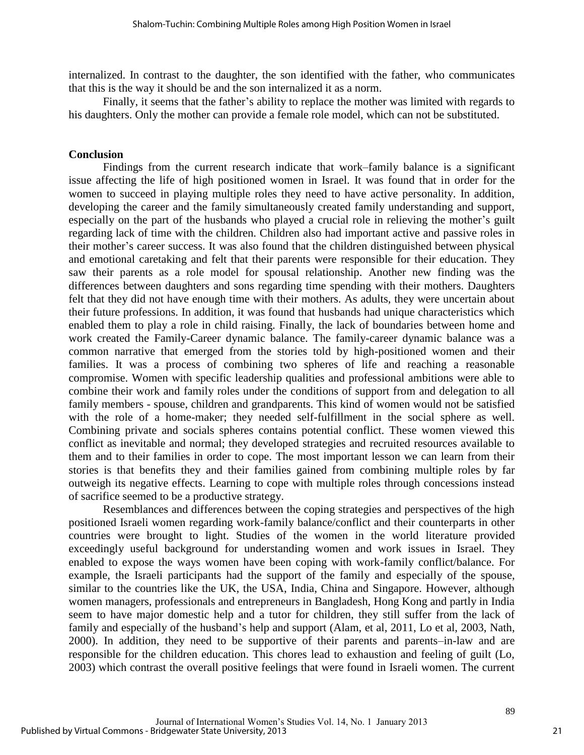internalized. In contrast to the daughter, the son identified with the father, who communicates that this is the way it should be and the son internalized it as a norm.

Finally, it seems that the father's ability to replace the mother was limited with regards to his daughters. Only the mother can provide a female role model, which can not be substituted.

#### **Conclusion**

Findings from the current research indicate that work–family balance is a significant issue affecting the life of high positioned women in Israel. It was found that in order for the women to succeed in playing multiple roles they need to have active personality. In addition, developing the career and the family simultaneously created family understanding and support, especially on the part of the husbands who played a crucial role in relieving the mother's guilt regarding lack of time with the children. Children also had important active and passive roles in their mother's career success. It was also found that the children distinguished between physical and emotional caretaking and felt that their parents were responsible for their education. They saw their parents as a role model for spousal relationship. Another new finding was the differences between daughters and sons regarding time spending with their mothers. Daughters felt that they did not have enough time with their mothers. As adults, they were uncertain about their future professions. In addition, it was found that husbands had unique characteristics which enabled them to play a role in child raising. Finally, the lack of boundaries between home and work created the Family-Career dynamic balance. The family-career dynamic balance was a common narrative that emerged from the stories told by high-positioned women and their families. It was a process of combining two spheres of life and reaching a reasonable compromise. Women with specific leadership qualities and professional ambitions were able to combine their work and family roles under the conditions of support from and delegation to all family members - spouse, children and grandparents. This kind of women would not be satisfied with the role of a home-maker; they needed self-fulfillment in the social sphere as well. Combining private and socials spheres contains potential conflict. These women viewed this conflict as inevitable and normal; they developed strategies and recruited resources available to them and to their families in order to cope. The most important lesson we can learn from their stories is that benefits they and their families gained from combining multiple roles by far outweigh its negative effects. Learning to cope with multiple roles through concessions instead of sacrifice seemed to be a productive strategy.

Resemblances and differences between the coping strategies and perspectives of the high positioned Israeli women regarding work-family balance/conflict and their counterparts in other countries were brought to light. Studies of the women in the world literature provided exceedingly useful background for understanding women and work issues in Israel. They enabled to expose the ways women have been coping with work-family conflict/balance. For example, the Israeli participants had the support of the family and especially of the spouse, similar to the countries like the UK, the USA, India, China and Singapore. However, although women managers, professionals and entrepreneurs in Bangladesh, Hong Kong and partly in India seem to have major domestic help and a tutor for children, they still suffer from the lack of family and especially of the husband's help and support (Alam, et al, 2011, Lo et al, 2003, Nath, 2000). In addition, they need to be supportive of their parents and parents–in-law and are responsible for the children education. This chores lead to exhaustion and feeling of guilt (Lo, 2003) which contrast the overall positive feelings that were found in Israeli women. The current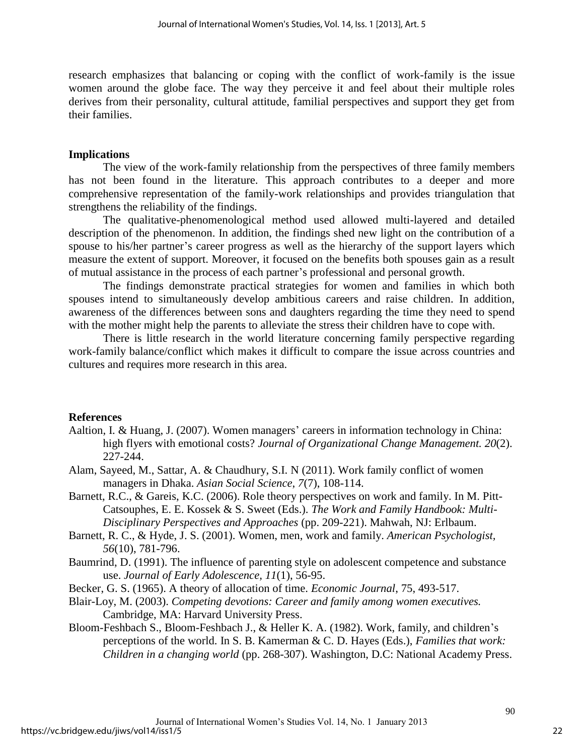research emphasizes that balancing or coping with the conflict of work-family is the issue women around the globe face. The way they perceive it and feel about their multiple roles derives from their personality, cultural attitude, familial perspectives and support they get from their families.

#### **Implications**

The view of the work-family relationship from the perspectives of three family members has not been found in the literature. This approach contributes to a deeper and more comprehensive representation of the family-work relationships and provides triangulation that strengthens the reliability of the findings.

The qualitative-phenomenological method used allowed multi-layered and detailed description of the phenomenon. In addition, the findings shed new light on the contribution of a spouse to his/her partner's career progress as well as the hierarchy of the support layers which measure the extent of support. Moreover, it focused on the benefits both spouses gain as a result of mutual assistance in the process of each partner's professional and personal growth.

The findings demonstrate practical strategies for women and families in which both spouses intend to simultaneously develop ambitious careers and raise children. In addition, awareness of the differences between sons and daughters regarding the time they need to spend with the mother might help the parents to alleviate the stress their children have to cope with.

There is little research in the world literature concerning family perspective regarding work-family balance/conflict which makes it difficult to compare the issue across countries and cultures and requires more research in this area.

#### **References**

- Aaltion, I. & Huang, J. (2007). Women managers' careers in information technology in China: high flyers with emotional costs? *Journal of Organizational Change Management. 20*(2). 227-244.
- Alam, Sayeed, M., Sattar, A. & Chaudhury, S.I. N (2011). Work family conflict of women managers in Dhaka. *Asian Social Science*, *7*(7), 108-114.
- Barnett, R.C., & Gareis, K.C. (2006). Role theory perspectives on work and family. In M. Pitt-Catsouphes, E. E. Kossek & S. Sweet (Eds.). *The Work and Family Handbook: Multi-Disciplinary Perspectives and Approaches* (pp. 209-221). Mahwah, NJ: Erlbaum.
- Barnett, R. C., & Hyde, J. S. (2001). Women, men, work and family. *American Psychologist, 56*(10), 781-796.
- Baumrind, D. (1991). The influence of parenting style on adolescent competence and substance use. *Journal of Early Adolescence, 11*(1), 56-95.
- Becker, G. S. (1965). A theory of allocation of time. *Economic Journal*, 75, 493-517.
- Blair-Loy, M. (2003). *Competing devotions: Career and family among women executives.*  Cambridge, MA: Harvard University Press.
- Bloom-Feshbach S., Bloom-Feshbach J., & Heller K. A. (1982). Work, family, and children's perceptions of the world. In S. B. Kamerman & C. D. Hayes (Eds.), *Families that work: Children in a changing world* (pp. 268-307). Washington, D.C: National Academy Press.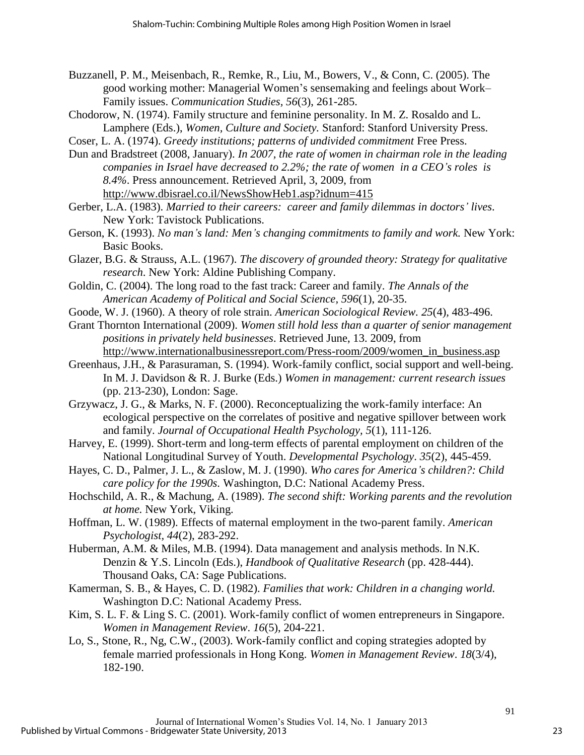- Buzzanell, P. M., Meisenbach, R., Remke, R., Liu, M., Bowers, V., & Conn, C. (2005). The good working mother: Managerial Women's sensemaking and feelings about Work– Family issues. *Communication Studies, 56*(3), 261-285.
- Chodorow, N. (1974). Family structure and feminine personality. In M. Z. Rosaldo and L. Lamphere (Eds.), *Women, Culture and Society.* Stanford: Stanford University Press.
- Coser, L. A. (1974). *Greedy institutions; patterns of undivided commitment* Free Press.
- Dun and Bradstreet (2008, January). *In 2007, the rate of women in chairman role in the leading companies in Israel have decreased to 2.2%; the rate of women in a CEO's roles is 8.4%*. Press announcement. Retrieved April, 3, 2009, from http://www.dbisrael.co.il/NewsShowHeb1.asp?idnum=415
- Gerber, L.A. (1983). *Married to their careers: career and family dilemmas in doctors' lives*. New York: Tavistock Publications.
- Gerson, K. (1993). *No man's land: Men's changing commitments to family and work.* New York: Basic Books.
- Glazer, B.G. & Strauss, A.L. (1967). *The discovery of grounded theory: Strategy for qualitative research*. New York: Aldine Publishing Company.
- Goldin, C. (2004). The long road to the fast track: Career and family. *The Annals of the American Academy of Political and Social Science, 596*(1), 20-35.
- Goode, W. J. (1960). A theory of role strain. *American Sociological Review. 25*(4)*,* 483-496.
- Grant Thornton International (2009). *Women still hold less than a quarter of senior management positions in privately held businesses*. Retrieved June, 13. 2009, from http://www.internationalbusinessreport.com/Press-room/2009/women\_in\_business.asp
- Greenhaus, J.H., & Parasuraman, S. (1994). Work-family conflict, social support and well-being. In M. J. Davidson & R. J. Burke (Eds.) *Women in management: current research issues* (pp. 213-230), London: Sage.
- Grzywacz, J. G., & Marks, N. F. (2000). Reconceptualizing the work-family interface: An ecological perspective on the correlates of positive and negative spillover between work and family. *Journal of Occupational Health Psychology, 5*(1), 111-126.
- Harvey, E. (1999). Short-term and long-term effects of parental employment on children of the National Longitudinal Survey of Youth. *Developmental Psychology*. *35*(2), 445-459.
- Hayes, C. D., Palmer, J. L., & Zaslow, M. J. (1990). *Who cares for America's children?: Child care policy for the 1990s.* Washington, D.C: National Academy Press.
- Hochschild, A. R., & Machung, A. (1989). *The second shift: Working parents and the revolution at home.* New York, Viking.
- Hoffman, L. W. (1989). Effects of maternal employment in the two-parent family. *American Psychologist, 44*(2), 283-292.
- Huberman, A.M. & Miles, M.B. (1994). Data management and analysis methods. In N.K. Denzin & Y.S. Lincoln (Eds.), *Handbook of Qualitative Research* (pp. 428-444). Thousand Oaks, CA: Sage Publications.
- Kamerman, S. B., & Hayes, C. D. (1982). *Families that work: Children in a changing world.* Washington D.C: National Academy Press.
- Kim, S. L. F. & Ling S. C. (2001). Work-family conflict of women entrepreneurs in Singapore. *Women in Management Review*. *16*(5), 204-221.
- Lo, S., Stone, R., Ng, C.W., (2003). Work-family conflict and coping strategies adopted by female married professionals in Hong Kong. *Women in Management Review*. *18*(3/4), 182-190.

91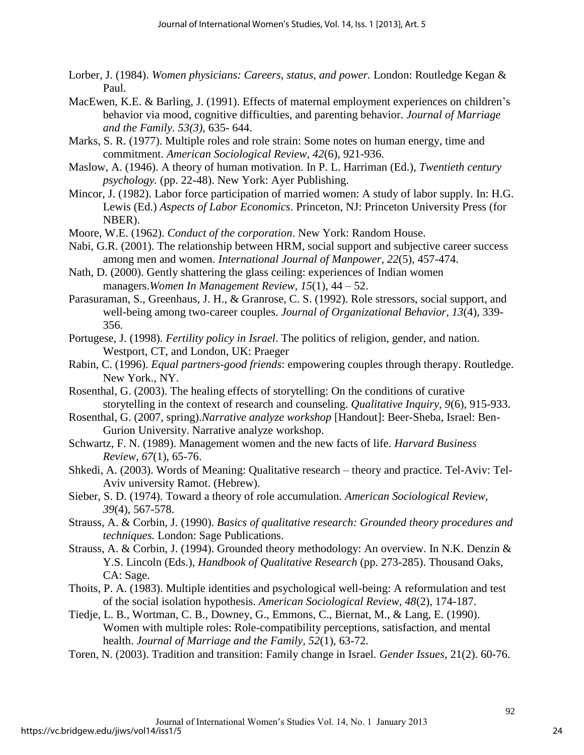- Lorber, J. (1984). *Women physicians: Careers, status, and power.* London: Routledge Kegan & Paul.
- MacEwen, K.E. & Barling, J. (1991). Effects of maternal employment experiences on children's behavior via mood, cognitive difficulties, and parenting behavior. *Journal of Marriage and the Family. 53(3),* 635- 644.
- Marks, S. R. (1977). Multiple roles and role strain: Some notes on human energy, time and commitment. *American Sociological Review, 42*(6), 921-936.
- Maslow, A. (1946). A theory of human motivation. In P. L. Harriman (Ed.), *Twentieth century psychology.* (pp. 22-48). New York: Ayer Publishing.
- Mincor, J. (1982). Labor force participation of married women: A study of labor supply. In: H.G. Lewis (Ed.) *Aspects of Labor Economics*. Princeton, NJ: Princeton University Press (for NBER).
- Moore, W.E. (1962). *Conduct of the corporation*. New York: Random House.
- Nabi, G.R. (2001). The relationship between HRM, social support and subjective career success among men and women. *International Journal of Manpower, 22*(5), 457-474.
- Nath, D. (2000). Gently shattering the glass ceiling: experiences of Indian women managers.*Women In Management Review, 15*(1), 44 – 52.
- Parasuraman, S., Greenhaus, J. H., & Granrose, C. S. (1992). Role stressors, social support, and well-being among two-career couples. *Journal of Organizational Behavior, 13*(4), 339- 356.
- Portugese, J. (1998). *Fertility policy in Israel*. The politics of religion, gender, and nation. Westport, CT, and London, UK: Praeger
- Rabin, C. (1996). *Equal partners-good friends*: empowering couples through therapy. Routledge. New York., NY.
- Rosenthal, G. (2003). The healing effects of storytelling: On the conditions of curative storytelling in the context of research and counseling. *Qualitative Inquiry, 9*(6), 915-933.
- Rosenthal, G. (2007, spring).*Narrative analyze workshop* [Handout]: Beer-Sheba, Israel: Ben-Gurion University. Narrative analyze workshop.
- Schwartz, F. N. (1989). Management women and the new facts of life. *Harvard Business Review, 67*(1), 65-76.
- Shkedi, A. (2003). Words of Meaning: Qualitative research theory and practice. Tel-Aviv: Tel-Aviv university Ramot. (Hebrew).
- Sieber, S. D. (1974). Toward a theory of role accumulation. *American Sociological Review, 39*(4), 567-578.
- Strauss, A. & Corbin, J. (1990). *Basics of qualitative research: Grounded theory procedures and techniques.* London: Sage Publications.
- Strauss, A. & Corbin, J. (1994). Grounded theory methodology: An overview. In N.K. Denzin & Y.S. Lincoln (Eds.), *Handbook of Qualitative Research* (pp. 273-285). Thousand Oaks, CA: Sage.
- Thoits, P. A. (1983). Multiple identities and psychological well-being: A reformulation and test of the social isolation hypothesis. *American Sociological Review, 48*(2), 174-187.
- Tiedje, L. B., Wortman, C. B., Downey, G., Emmons, C., Biernat, M., & Lang, E. (1990). Women with multiple roles: Role-compatibility perceptions, satisfaction, and mental health. *Journal of Marriage and the Family, 52*(1), 63-72.
- Toren, N. (2003). Tradition and transition: Family change in Israel. *Gender Issues*, 21(2). 60-76.